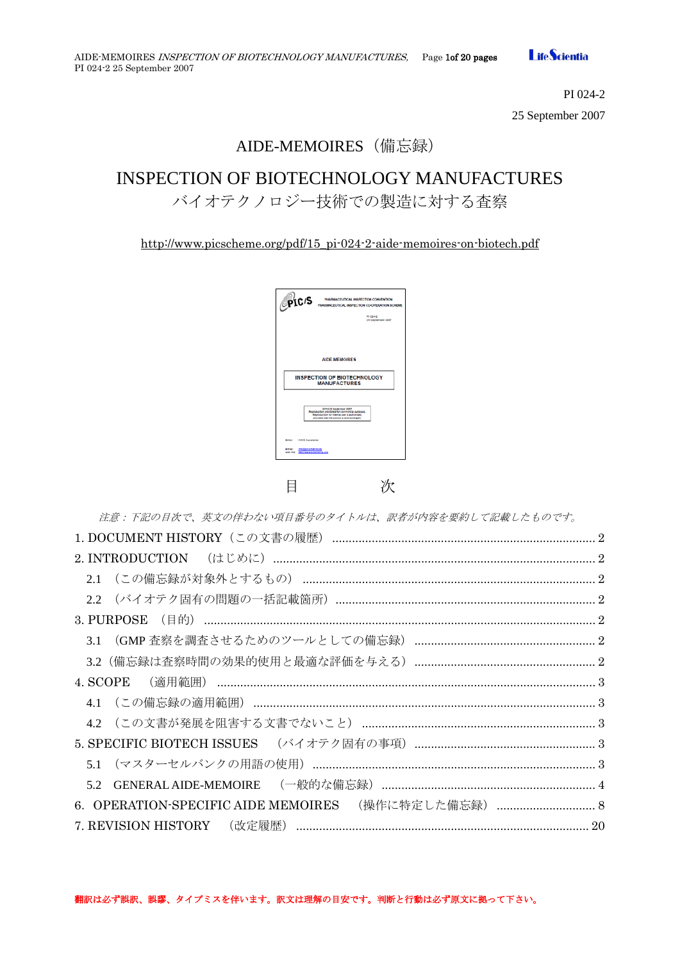

PI 024-2 25 September 2007

# AIDE-MEMOIRES (備忘録)

# INSPECTION OF BIOTECHNOLOGY MANUFACTURES

バイオテクノロジー技術での製造に対する査察

[http://www.picscheme.org/pdf/15\\_pi-024-2-aide-memoires-on-biotech.pdf](http://www.picscheme.org/pdf/15_pi-024-2-aide-memoires-on-biotech.pdf)

| <b>PIC'S</b>                                                             | PHARMACEUTICAL INSPECTION CONVENTION<br><b>PHARMACEUTICAL INSPECTION CO-OPERATION SCHEME</b>                                                                            |
|--------------------------------------------------------------------------|-------------------------------------------------------------------------------------------------------------------------------------------------------------------------|
|                                                                          | PI 034-2<br>25 September 2007                                                                                                                                           |
|                                                                          |                                                                                                                                                                         |
|                                                                          | <b>AIDE-MEMOIRES</b>                                                                                                                                                    |
|                                                                          | <b>INSPECTION OF BIOTECHNOLOGY</b><br><b>MANUFACTURES</b>                                                                                                               |
|                                                                          | @ PiG/S September 2007<br>Reproduction prohibited for commercial purposes.<br>Reproduction for internal use is authorized.<br>provided that the source is acknowledged. |
| Editor<br><b>PICIS Secretarial</b>                                       |                                                                                                                                                                         |
| <b>But at</b><br>000000000000<br><b>PASSAGE AVAILABLE AVA</b><br>web she |                                                                                                                                                                         |

目 次

注意:下記の目次で、英文の伴わない項目番号のタイトルは、訳者が内容を要約して記載したものです。 1. DOCUMENT HISTORY(この文書の履歴)[................................................................................](#page-1-0) 2 2. INTRODUCTION (はじめに)[..................................................................................................](#page-1-1) 2 2.1 (この備忘録が対象外とするもの) [.........................................................................................](#page-1-2) 2 2.2 (バイオテク固有の問題の一括記載箇所)[...............................................................................](#page-1-3) 2 3. PURPOSE (目的) [.......................................................................................................................](#page-1-4) 2 3.1 (GMP [査察を調査させるためのツールとしての備忘録\)](#page-1-5)....................................................... 2 3.2[\(備忘録は査察時間の効果的使用と最適な評価を与える\)](#page-1-6)....................................................... 2 4. SCOPE (適用範囲) [...................................................................................................................](#page-2-0) 3 4.1 (この備忘録の適用範囲)[........................................................................................................](#page-2-1) 3 4.2 [\(この文書が発展を阻害する文書でないこと\)](#page-2-2) ....................................................................... 3 [5. SPECIFIC BIOTECH ISSUES](#page-2-3) (バイオテク固有の事項)....................................................... 3 5.1 (マスターセルバンクの用語の使用)[......................................................................................](#page-2-4) 3 5.2 GENERAL AIDE-MEMOIRE (一般的な備忘録)[.................................................................](#page-3-0) 4 6. [OPERATION-SPECIFIC AIDE MEMOIRES](#page-7-0) (操作に特定した備忘録)................................ 7. REVISION HISTORY (改定履歴)[.........................................................................................](#page-19-0) 20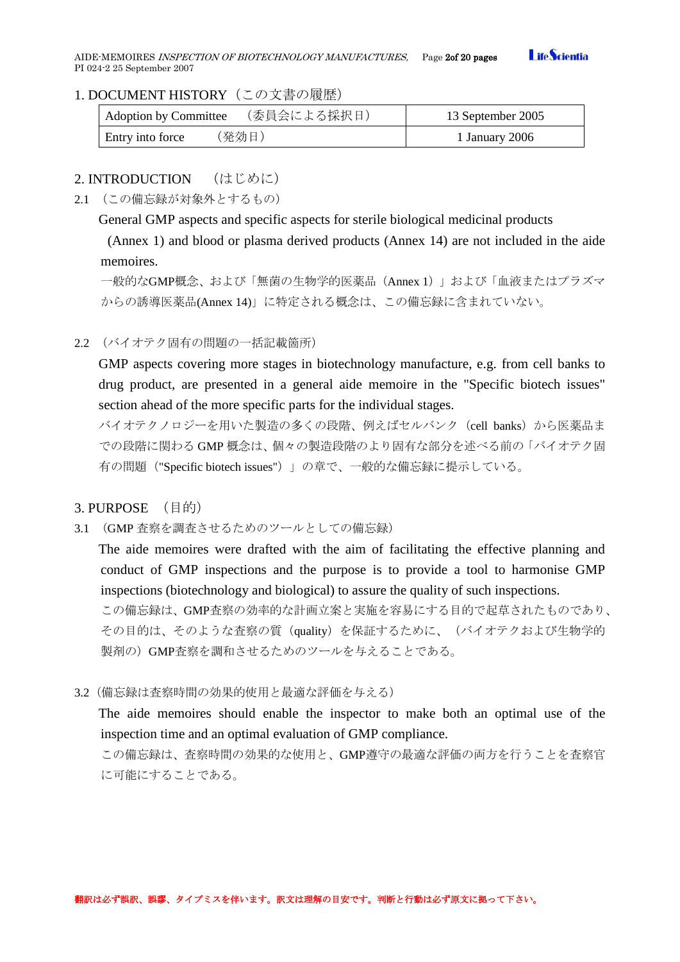AIDE-MEMOIRES INSPECTION OF BIOTECHNOLOGY MANUFACTURES, Page 20 20 pages PI 024-2 25 September 2007

### **Life**Scientia

### <span id="page-1-0"></span>1. DOCUMENT HISTORY(この文書の履歴)

| (委員会による採択日)<br>Adoption by Committee | 13 September 2005 |
|--------------------------------------|-------------------|
| 〔発効日)<br>Entry into force            | 1 January 2006    |

### <span id="page-1-1"></span>2. **INTRODUCTION** (はじめに)

<span id="page-1-2"></span>2.1 (この備忘録が対象外とするもの)

General GMP aspects and specific aspects for sterile biological medicinal products

(Annex 1) and blood or plasma derived products (Annex 14) are not included in the aide memoires.

一般的なGMP概念、および「無菌の生物学的医薬品(Annex 1)」および「血液またはプラズマ からの誘導医薬品(Annex 14)」に特定される概念は、この備忘録に含まれていない。

<span id="page-1-3"></span>2.2 (バイオテク固有の問題の一括記載箇所)

GMP aspects covering more stages in biotechnology manufacture, e.g. from cell banks to drug product, are presented in a general aide memoire in the "Specific biotech issues" section ahead of the more specific parts for the individual stages.

バイオテクノロジーを用いた製造の多くの段階、例えばセルバンク (cell banks) から医薬品ま での段階に関わる GMP 概念は、個々の製造段階のより固有な部分を述べる前の「バイオテク固 有の問題("Specific biotech issues")」の章で、一般的な備忘録に提示している。

# <span id="page-1-4"></span>3. PURPOSE (目的)

<span id="page-1-5"></span>3.1 (GMP 査察を調査させるためのツールとしての備忘録)

The aide memoires were drafted with the aim of facilitating the effective planning and conduct of GMP inspections and the purpose is to provide a tool to harmonise GMP inspections (biotechnology and biological) to assure the quality of such inspections.

この備忘録は、GMP査察の効率的な計画立案と実施を容易にする目的で起草されたものであり、 その目的は、そのような査察の質(quality)を保証するために、(バイオテクおよび生物学的 製剤の)GMP査察を調和させるためのツールを与えることである。

<span id="page-1-6"></span>3.2(備忘録は査察時間の効果的使用と最適な評価を与える)

The aide memoires should enable the inspector to make both an optimal use of the inspection time and an optimal evaluation of GMP compliance.

この備忘録は、査察時間の効果的な使用と、GMP遵守の最適な評価の両方を行うことを査察官 に可能にすることである。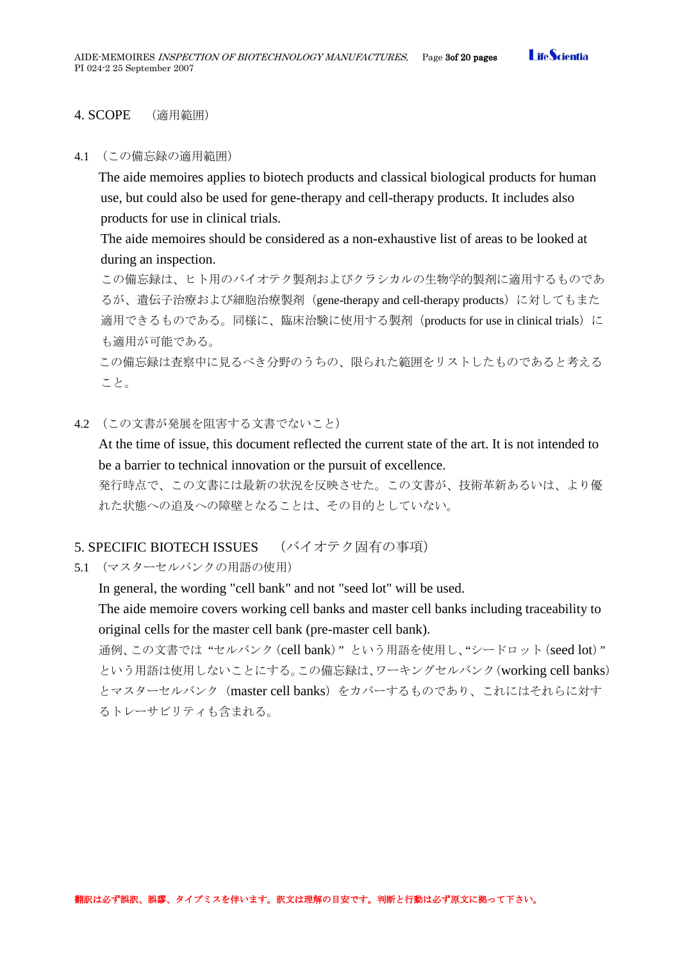#### <span id="page-2-0"></span>4. SCOPE (適用範囲)

#### <span id="page-2-1"></span>4.1 (この備忘録の適用範囲)

The aide memoires applies to biotech products and classical biological products for human use, but could also be used for gene-therapy and cell-therapy products. It includes also products for use in clinical trials.

The aide memoires should be considered as a non-exhaustive list of areas to be looked at during an inspection.

この備忘録は、ヒト用のバイオテク製剤およびクラシカルの生物学的製剤に適用するものであ るが、遺伝子治療および細胞治療製剤(gene-therapy and cell-therapy products)に対してもまた 適用できるものである。同様に、臨床治験に使用する製剤 (products for use in clinical trials) に も適用が可能である。

この備忘録は査察中に見るべき分野のうちの、限られた範囲をリストしたものであると考える こと。

#### <span id="page-2-2"></span>4.2 (この文書が発展を阻害する文書でないこと)

At the time of issue, this document reflected the current state of the art. It is not intended to be a barrier to technical innovation or the pursuit of excellence.

発行時点で、この文書には最新の状況を反映させた。この文書が、技術革新あるいは、より優 れた状態への追及への障壁となることは、その目的としていない。

### <span id="page-2-3"></span>5. SPECIFIC BIOTECH ISSUES (バイオテク固有の事項)

<span id="page-2-4"></span>5.1 (マスターセルバンクの用語の使用)

In general, the wording "cell bank" and not "seed lot" will be used.

The aide memoire covers working cell banks and master cell banks including traceability to original cells for the master cell bank (pre-master cell bank).

通例、この文書では "セルバンク(cell bank)" という用語を使用し、"シードロット(seed lot)" という用語は使用しないことにする。この備忘録は、ワーキングセルバンク(working cell banks) とマスターセルバンク (master cell banks) をカバーするものであり、これにはそれらに対す るトレーサビリティも含まれる。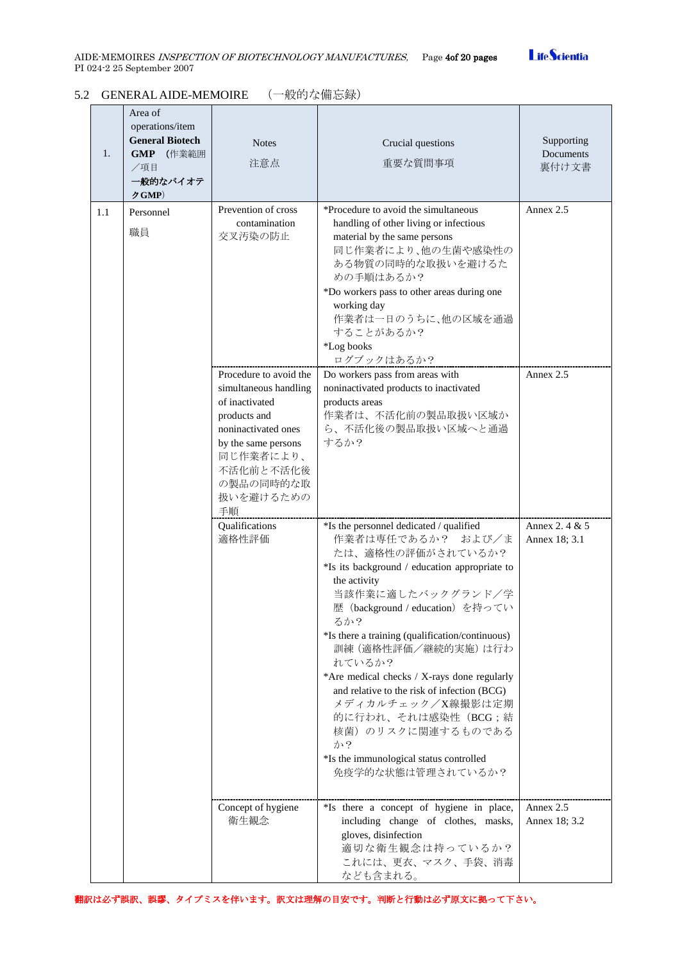# **LifeScientia**

### <span id="page-3-0"></span>5.2 GENERAL AIDE-MEMOIRE (一般的な備忘録)

| 1.  | Area of<br>operations/item<br><b>General Biotech</b><br>GMP (作業範囲<br>╱項目<br>一般的なバイオテ<br>クGMP) | <b>Notes</b><br>注意点                                                                                                                                                                       | Crucial questions<br>重要な質問事項                                                                                                                                                                                                                                                                                                                                                                                                                                                                                                              | Supporting<br>Documents<br>裏付け文書 |
|-----|-----------------------------------------------------------------------------------------------|-------------------------------------------------------------------------------------------------------------------------------------------------------------------------------------------|-------------------------------------------------------------------------------------------------------------------------------------------------------------------------------------------------------------------------------------------------------------------------------------------------------------------------------------------------------------------------------------------------------------------------------------------------------------------------------------------------------------------------------------------|----------------------------------|
| 1.1 | Personnel<br>職員                                                                               | Prevention of cross<br>contamination<br>交叉汚染の防止                                                                                                                                           | *Procedure to avoid the simultaneous<br>handling of other living or infectious<br>material by the same persons<br>同じ作業者により、他の生菌や感染性の<br>ある物質の同時的な取扱いを避けるた<br>めの手順はあるか?<br>*Do workers pass to other areas during one<br>working day<br>作業者は一日のうちに、他の区域を通過<br>することがあるか?<br>*Log books<br>ログブックはあるか?                                                                                                                                                                                                                                        | Annex 2.5                        |
|     |                                                                                               | Procedure to avoid the<br>simultaneous handling<br>of inactivated<br>products and<br>noninactivated ones<br>by the same persons<br>同じ作業者により、<br>不活化前と不活化後<br>の製品の同時的な取<br>扱いを避けるための<br>手順 | Do workers pass from areas with<br>noninactivated products to inactivated<br>products areas<br>作業者は、不活化前の製品取扱い区域か<br>ら、不活化後の製品取扱い区域へと通過<br>するか?                                                                                                                                                                                                                                                                                                                                                                                           | Annex 2.5                        |
|     |                                                                                               | Qualifications<br>適格性評価                                                                                                                                                                   | *Is the personnel dedicated / qualified<br>作業者は専任であるか? および/ま<br>たは、適格性の評価がされているか?<br>*Is its background / education appropriate to<br>the activity<br>当該作業に適したバックグランド/学<br>歴 (background / education) を持ってい<br>るか?<br>*Is there a training (qualification/continuous)<br>訓練(適格性評価/継続的実施)は行わ<br>れているか?<br>*Are medical checks / X-rays done regularly<br>and relative to the risk of infection (BCG)<br>メディカルチェック/X線撮影は定期<br>的に行われ、それは感染性(BCG;結<br>核菌)のリスクに関連するものである<br>か?<br>*Is the immunological status controlled<br>免疫学的な状態は管理されているか? | Annex 2, 4 & 5<br>Annex 18; 3.1  |
|     |                                                                                               | Concept of hygiene<br>衛生観念                                                                                                                                                                | *Is there a concept of hygiene in place,<br>including change of clothes, masks,<br>gloves, disinfection<br>適切な衛生観念は持っているか?<br>これには、更衣、マスク、手袋、消毒<br>なども含まれる。                                                                                                                                                                                                                                                                                                                                                                               | Annex 2.5<br>Annex 18; 3.2       |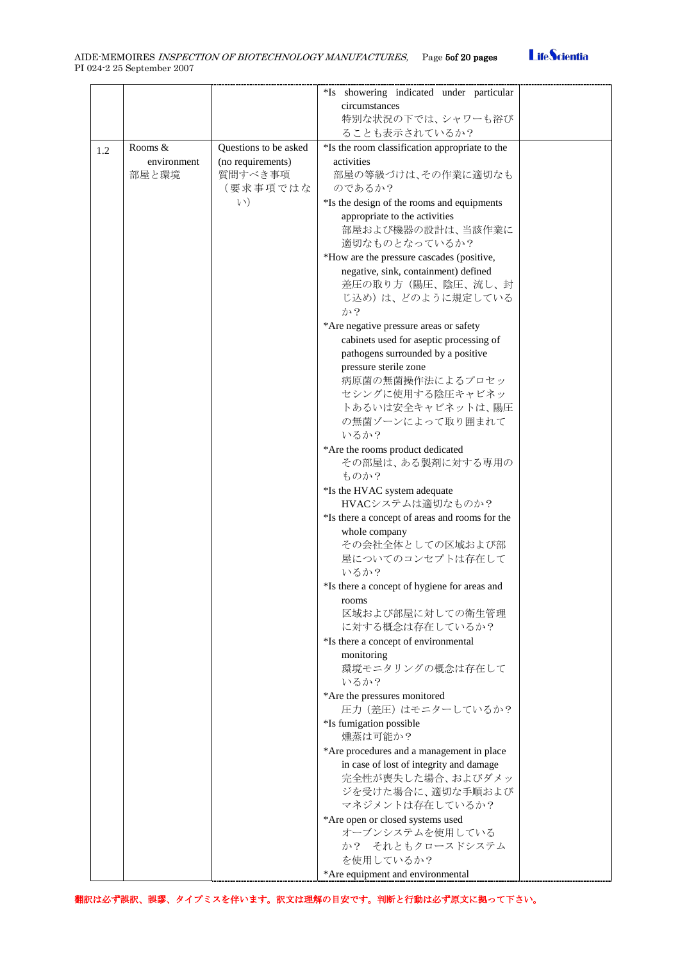|     |             |                       | *Is showering indicated under particular       |  |
|-----|-------------|-----------------------|------------------------------------------------|--|
|     |             |                       | circumstances                                  |  |
|     |             |                       | 特別な状況の下では、シャワーも浴び                              |  |
|     |             |                       | ることも表示されているか?                                  |  |
|     | Rooms &     | Questions to be asked | *Is the room classification appropriate to the |  |
| 1.2 | environment | (no requirements)     | activities                                     |  |
|     | 部屋と環境       | 質問すべき事項               | 部屋の等級づけは、その作業に適切なも                             |  |
|     |             | (要求事項ではな              | のであるか?                                         |  |
|     |             | $\lambda$ )           |                                                |  |
|     |             |                       | *Is the design of the rooms and equipments     |  |
|     |             |                       | appropriate to the activities                  |  |
|     |             |                       | 部屋および機器の設計は、当該作業に                              |  |
|     |             |                       | 適切なものとなっているか?                                  |  |
|     |             |                       | *How are the pressure cascades (positive,      |  |
|     |             |                       | negative, sink, containment) defined           |  |
|     |             |                       | 差圧の取り方(陽圧、陰圧、流し、封                              |  |
|     |             |                       | じ込め)は、どのように規定している                              |  |
|     |             |                       | か?                                             |  |
|     |             |                       | *Are negative pressure areas or safety         |  |
|     |             |                       | cabinets used for aseptic processing of        |  |
|     |             |                       | pathogens surrounded by a positive             |  |
|     |             |                       | pressure sterile zone                          |  |
|     |             |                       | 病原菌の無菌操作法によるプロセッ                               |  |
|     |             |                       | セシングに使用する陰圧キャビネッ                               |  |
|     |             |                       | トあるいは安全キャビネットは、陽圧                              |  |
|     |             |                       | の無菌ゾーンによって取り囲まれて                               |  |
|     |             |                       | いるか?                                           |  |
|     |             |                       | *Are the rooms product dedicated               |  |
|     |             |                       | その部屋は、ある製剤に対する専用の                              |  |
|     |             |                       | ものか?                                           |  |
|     |             |                       | *Is the HVAC system adequate                   |  |
|     |             |                       | HVACシステムは適切なものか?                               |  |
|     |             |                       | *Is there a concept of areas and rooms for the |  |
|     |             |                       | whole company                                  |  |
|     |             |                       | その会社全体としての区域および部                               |  |
|     |             |                       | 屋についてのコンセプトは存在して                               |  |
|     |             |                       | いるか?                                           |  |
|     |             |                       | *Is there a concept of hygiene for areas and   |  |
|     |             |                       | rooms                                          |  |
|     |             |                       | 区域および部屋に対しての衛生管理                               |  |
|     |             |                       | に対する概念は存在しているか?                                |  |
|     |             |                       | *Is there a concept of environmental           |  |
|     |             |                       | monitoring                                     |  |
|     |             |                       | 環境モニタリングの概念は存在して                               |  |
|     |             |                       | いるか?                                           |  |
|     |             |                       | *Are the pressures monitored                   |  |
|     |             |                       | 圧力 (差圧) はモニターしているか?                            |  |
|     |             |                       | *Is fumigation possible                        |  |
|     |             |                       | 燻蒸は可能か?                                        |  |
|     |             |                       | *Are procedures and a management in place      |  |
|     |             |                       | in case of lost of integrity and damage        |  |
|     |             |                       | 完全性が喪失した場合、およびダメッ                              |  |
|     |             |                       | ジを受けた場合に、適切な手順および                              |  |
|     |             |                       | マネジメントは存在しているか?                                |  |
|     |             |                       | *Are open or closed systems used               |  |
|     |             |                       | オーブンシステムを使用している                                |  |
|     |             |                       | か? それともクロースドシステム                               |  |
|     |             |                       | を使用しているか?                                      |  |
|     |             |                       | *Are equipment and environmental               |  |

翻訳は必ず誤訳、誤謬、タイプミスを伴います。訳文は理解の目安です。判断と行動は必ず原文に拠って下さい。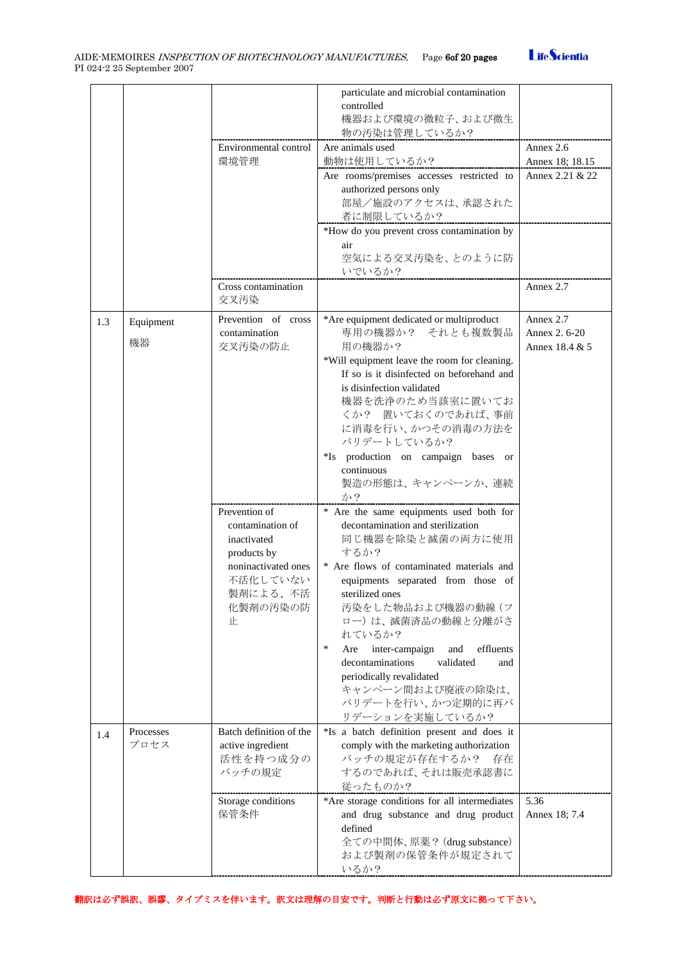|     |           |                             | particulate and microbial contamination<br>controlled |                 |
|-----|-----------|-----------------------------|-------------------------------------------------------|-----------------|
|     |           |                             | 機器および環境の微粒子、および微生<br>物の汚染は管理しているか?                    |                 |
|     |           | Environmental control       | Are animals used                                      | Annex 2.6       |
|     |           | 環境管理                        | 動物は使用しているか?                                           | Annex 18; 18.15 |
|     |           |                             | Are rooms/premises accesses restricted to             | Annex 2.21 & 22 |
|     |           |                             | authorized persons only                               |                 |
|     |           |                             | 部屋/施設のアクセスは、承認された                                     |                 |
|     |           |                             | 者に制限しているか?                                            |                 |
|     |           |                             | *How do you prevent cross contamination by            |                 |
|     |           |                             | air                                                   |                 |
|     |           |                             | 空気による交叉汚染を、とのように防                                     |                 |
|     |           |                             | いでいるか?                                                |                 |
|     |           | Cross contamination<br>交叉汚染 |                                                       | Annex 2.7       |
| 1.3 | Equipment | Prevention of cross         | *Are equipment dedicated or multiproduct              | Annex 2.7       |
|     | 機器        | contamination               | 専用の機器か? それとも複数製品                                      | Annex 2.6-20    |
|     |           | 交叉汚染の防止                     | 用の機器か?                                                | Annex 18.4 & 5  |
|     |           |                             | *Will equipment leave the room for cleaning.          |                 |
|     |           |                             | If so is it disinfected on beforehand and             |                 |
|     |           |                             | is disinfection validated<br>機器を洗浄のため当該室に置いてお         |                 |
|     |           |                             | くか? 置いておくのであれば、事前                                     |                 |
|     |           |                             | に消毒を行い、かつその消毒の方法を                                     |                 |
|     |           |                             | バリデートしているか?                                           |                 |
|     |           |                             | *Is production on campaign bases or                   |                 |
|     |           |                             | continuous                                            |                 |
|     |           |                             | 製造の形態は、キャンペーンか、連続<br>か?                               |                 |
|     |           | Prevention of               | * Are the same equipments used both for               |                 |
|     |           | contamination of            | decontamination and sterilization                     |                 |
|     |           | inactivated                 | 同じ機器を除染と滅菌の両方に使用                                      |                 |
|     |           | products by                 | するか?                                                  |                 |
|     |           | noninactivated ones         | * Are flows of contaminated materials and             |                 |
|     |           | 不活化していない                    | equipments separated from those of                    |                 |
|     |           | 製剤による、不活                    | sterilized ones                                       |                 |
|     |           | 化製剤の汚染の防                    | 汚染をした物品および機器の動線 (フ                                    |                 |
|     |           | 止                           | ロー)は、滅菌済品の動線と分離がさ                                     |                 |
|     |           |                             | れているか?                                                |                 |
|     |           |                             | $\ast$<br>inter-campaign<br>effluents<br>Are<br>and   |                 |
|     |           |                             | validated<br>decontaminations<br>and                  |                 |
|     |           |                             | periodically revalidated<br>キャンペーン間および廃液の除染は、         |                 |
|     |           |                             | バリデートを行い、かつ定期的に再バ                                     |                 |
|     |           |                             | リデーションを実施しているか?                                       |                 |
|     | Processes | Batch definition of the     | *Is a batch definition present and does it            |                 |
| 1.4 | プロセス      | active ingredient           | comply with the marketing authorization               |                 |
|     |           | 活性を持つ成分の                    | バッチの規定が存在するか?<br>存在                                   |                 |
|     |           | バッチの規定                      | するのであれば、それは販売承認書に                                     |                 |
|     |           |                             | 従ったものか?                                               |                 |
|     |           | Storage conditions          | *Are storage conditions for all intermediates         | 5.36            |
|     |           | 保管条件                        | and drug substance and drug product                   | Annex 18; 7.4   |
|     |           |                             | defined                                               |                 |
|     |           |                             | 全ての中間体、原薬? (drug substance)                           |                 |
|     |           |                             | および製剤の保管条件が規定されて                                      |                 |
|     |           |                             | いるか?                                                  |                 |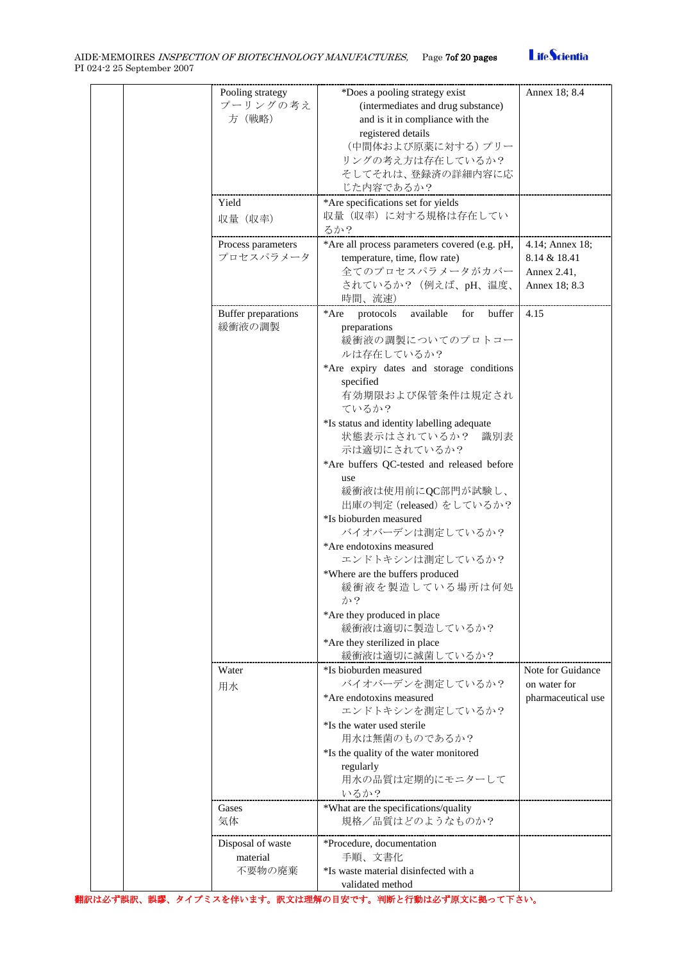# **LifeScientia**

|  | Pooling strategy    | *Does a pooling strategy exist                  | Annex 18; 8.4      |
|--|---------------------|-------------------------------------------------|--------------------|
|  | プーリングの考え            | (intermediates and drug substance)              |                    |
|  | 方 (戦略)              | and is it in compliance with the                |                    |
|  |                     | registered details                              |                    |
|  |                     | (中間体および原薬に対する)プリー                               |                    |
|  |                     | リングの考え方は存在しているか?                                |                    |
|  |                     | そしてそれは、登録済の詳細内容に応                               |                    |
|  |                     | じた内容であるか?                                       |                    |
|  | Yield               | *Are specifications set for yields              |                    |
|  |                     | 収量(収率)に対する規格は存在してい                              |                    |
|  | 収量 (収率)             |                                                 |                    |
|  |                     | るか?                                             |                    |
|  | Process parameters  | *Are all process parameters covered (e.g. pH,   | 4.14; Annex 18;    |
|  | プロセスパラメータ           | temperature, time, flow rate)                   | 8.14 & 18.41       |
|  |                     | 全てのプロセスパラメータがカバー                                | Annex 2.41,        |
|  |                     | されているか? (例えば、pH、温度、                             | Annex 18; 8.3      |
|  |                     | 時間、流速)                                          |                    |
|  | Buffer preparations | protocols<br>available<br>for<br>buffer<br>*Are | 4.15               |
|  | 緩衝液の調製              | preparations                                    |                    |
|  |                     | 緩衝液の調製についてのプロトコー                                |                    |
|  |                     | ルは存在しているか?                                      |                    |
|  |                     |                                                 |                    |
|  |                     | *Are expiry dates and storage conditions        |                    |
|  |                     | specified                                       |                    |
|  |                     | 有効期限および保管条件は規定され                                |                    |
|  |                     | ているか?                                           |                    |
|  |                     | *Is status and identity labelling adequate      |                    |
|  |                     | 状態表示はされているか?<br>識別表                             |                    |
|  |                     | 示は適切にされているか?                                    |                    |
|  |                     | *Are buffers QC-tested and released before      |                    |
|  |                     | use                                             |                    |
|  |                     | 緩衝液は使用前にQC部門が試験し、                               |                    |
|  |                     | 出庫の判定 (released) をしているか?                        |                    |
|  |                     | *Is bioburden measured                          |                    |
|  |                     | バイオバーデンは測定しているか?                                |                    |
|  |                     |                                                 |                    |
|  |                     | *Are endotoxins measured                        |                    |
|  |                     | エンドトキシンは測定しているか?                                |                    |
|  |                     | *Where are the buffers produced                 |                    |
|  |                     | 緩衝液を製造している場所は何処                                 |                    |
|  |                     | か?                                              |                    |
|  |                     | *Are they produced in place                     |                    |
|  |                     | 緩衝液は適切に製造しているか?                                 |                    |
|  |                     | *Are they sterilized in place                   |                    |
|  |                     | 緩衝液は適切に滅菌しているか?                                 |                    |
|  | Water               | *Is bioburden measured                          | Note for Guidance  |
|  | 用水                  | バイオバーデンを測定しているか?                                | on water for       |
|  |                     | *Are endotoxins measured                        | pharmaceutical use |
|  |                     | エンドトキシンを測定しているか?                                |                    |
|  |                     |                                                 |                    |
|  |                     | *Is the water used sterile                      |                    |
|  |                     | 用水は無菌のものであるか?                                   |                    |
|  |                     | *Is the quality of the water monitored          |                    |
|  |                     | regularly                                       |                    |
|  |                     | 用水の品質は定期的にモニターして                                |                    |
|  |                     | いるか?                                            |                    |
|  | Gases               | *What are the specifications/quality            |                    |
|  | 気体                  | 規格/品質はどのようなものか?                                 |                    |
|  |                     |                                                 |                    |
|  | Disposal of waste   | *Procedure, documentation                       |                    |
|  | material            | 手順、文書化                                          |                    |
|  | 不要物の廃棄              | *Is waste material disinfected with a           |                    |
|  |                     | validated method                                |                    |
|  |                     |                                                 |                    |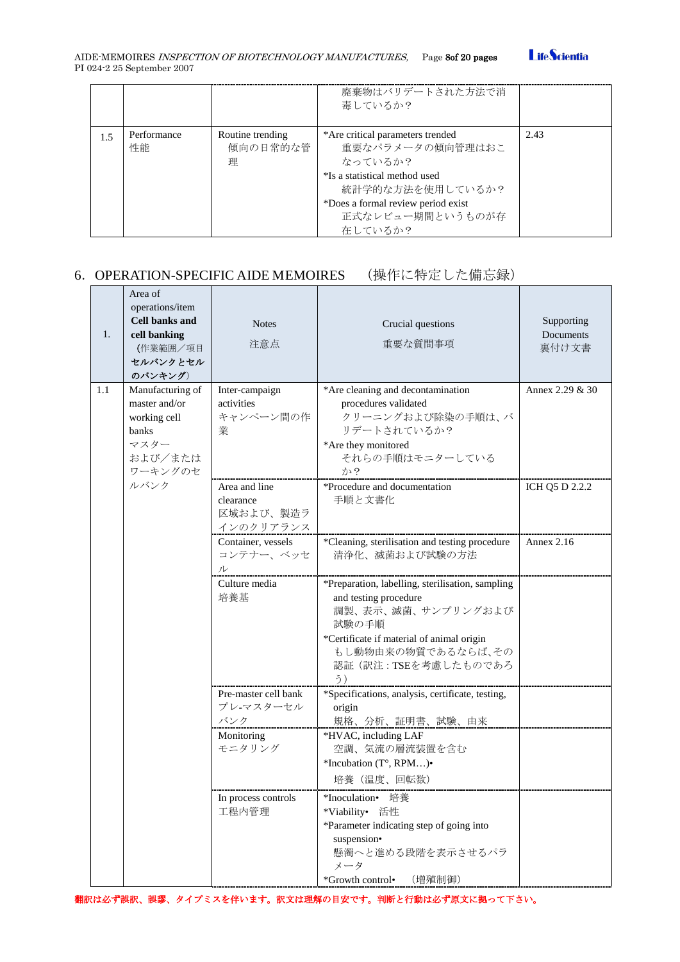

|     |                   |                                   | 廃棄物はバリデートされた方法で消<br>毒しているか?                                                                                                                                                               |      |
|-----|-------------------|-----------------------------------|-------------------------------------------------------------------------------------------------------------------------------------------------------------------------------------------|------|
| 1.5 | Performance<br>性能 | Routine trending<br>傾向の日常的な管<br>理 | *Are critical parameters trended<br>重要なパラメータの傾向管理はおこ<br>なっているか?<br>*Is a statistical method used<br>統計学的な方法を使用しているか?<br>*Does a formal review period exist<br>正式なレビュー期間というものが存<br>在しているか? | 2.43 |

# <span id="page-7-0"></span>6.OPERATION-SPECIFIC AIDE MEMOIRES (操作に特定した備忘録)

| 1.  | Area of<br>operations/item<br><b>Cell banks and</b><br>cell banking<br>(作業範囲/項目<br>セルバンクとセル<br>のバンキング) | <b>Notes</b><br>注意点                                  | Crucial questions<br>重要な質問事項                                                                                                                                                                             | Supporting<br>Documents<br>裏付け文書 |
|-----|--------------------------------------------------------------------------------------------------------|------------------------------------------------------|----------------------------------------------------------------------------------------------------------------------------------------------------------------------------------------------------------|----------------------------------|
| 1.1 | Manufacturing of<br>master and/or<br>working cell<br>banks<br>マスター<br>および/または<br>ワーキングのセ               | Inter-campaign<br>activities<br>キャンペーン間の作<br>業       | *Are cleaning and decontamination<br>procedures validated<br>クリーニングおよび除染の手順は、バ<br>リデートされているか?<br>*Are they monitored<br>それらの手順はモニターしている<br>か?                                                            | Annex 2.29 & 30                  |
|     | ルバンク                                                                                                   | Area and line<br>clearance<br>区域および、製造ラ<br>インのクリアランス | *Procedure and documentation<br>手順と文書化                                                                                                                                                                   | ICH Q5 D 2.2.2                   |
|     |                                                                                                        | Container, vessels<br>コンテナー、ベッセ<br>ル                 | *Cleaning, sterilisation and testing procedure<br>清浄化、滅菌および試験の方法                                                                                                                                         | Annex $2.16$                     |
|     |                                                                                                        | Culture media<br>培養基                                 | *Preparation, labelling, sterilisation, sampling<br>and testing procedure<br>調製、表示、滅菌、サンプリングおよび<br>試験の手順<br>*Certificate if material of animal origin<br>もし動物由来の物質であるならば、その<br>認証(訳注:TSEを考慮したものであろ<br>う) |                                  |
|     |                                                                                                        | Pre-master cell bank<br>プレ-マスターセル<br>バンク             | *Specifications, analysis, certificate, testing,<br>origin<br>規格、分析、証明書、試験、由来                                                                                                                            |                                  |
|     |                                                                                                        | Monitoring<br>モニタリング                                 | *HVAC, including LAF<br>空調、気流の層流装置を含む<br>*Incubation (T°, RPM)•<br>培養 (温度、回転数)                                                                                                                           |                                  |
|     |                                                                                                        | In process controls<br>工程内管理                         | *Inoculation• 培養<br>*Viability• 活性<br>*Parameter indicating step of going into<br>suspension•<br>懸濁へと進める段階を表示させるパラ<br>メータ<br>*Growth control•<br>(増殖制御)                                                  |                                  |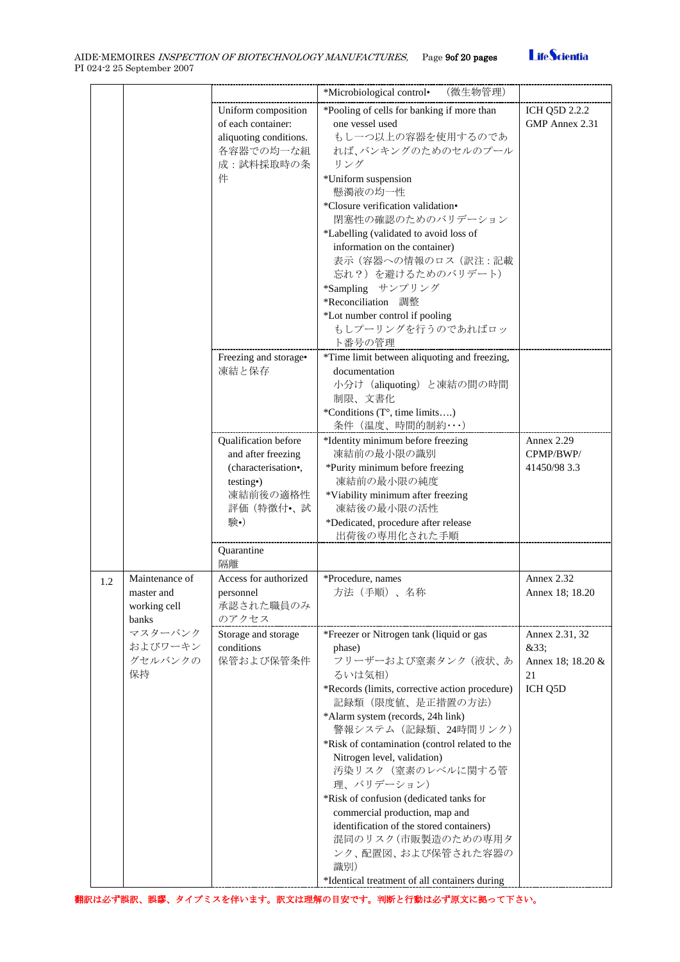

|     |                                                       |                                                                                                                             | *Microbiological control• (微生物管理)                                                                                                                                                                                                                                                                                                                                                                                                                                                                                                                                        |                                                              |
|-----|-------------------------------------------------------|-----------------------------------------------------------------------------------------------------------------------------|--------------------------------------------------------------------------------------------------------------------------------------------------------------------------------------------------------------------------------------------------------------------------------------------------------------------------------------------------------------------------------------------------------------------------------------------------------------------------------------------------------------------------------------------------------------------------|--------------------------------------------------------------|
|     |                                                       | Uniform composition<br>of each container:<br>aliquoting conditions.<br>各容器での均一な組<br>成:試料採取時の条                               | *Pooling of cells for banking if more than<br>one vessel used<br>もし一つ以上の容器を使用するのであ<br>れば、バンキングのためのセルのプール<br>リング                                                                                                                                                                                                                                                                                                                                                                                                                                                          | ICH Q5D 2.2.2<br>GMP Annex 2.31                              |
|     |                                                       | 件                                                                                                                           | *Uniform suspension<br>懸濁液の均一性<br>*Closure verification validation•<br>閉塞性の確認のためのバリデーション<br>*Labelling (validated to avoid loss of<br>information on the container)<br>表示(容器への情報のロス(訳注:記載<br>忘れ?) を避けるためのバリデート)<br>*Sampling サンプリング<br>*Reconciliation 調整                                                                                                                                                                                                                                                                                                                |                                                              |
|     |                                                       |                                                                                                                             | *Lot number control if pooling<br>もしプーリングを行うのであればロッ<br>ト番号の管理                                                                                                                                                                                                                                                                                                                                                                                                                                                                                                            |                                                              |
|     |                                                       | Freezing and storage•<br>凍結と保存                                                                                              | *Time limit between aliquoting and freezing,<br>documentation<br>小分け (aliquoting) と凍結の間の時間<br>制限、文書化<br>*Conditions (T°, time limits)<br>条件(温度、時間的制約・・・)                                                                                                                                                                                                                                                                                                                                                                                                                 |                                                              |
|     |                                                       | Qualification before<br>and after freezing<br>(characterisation•,<br>testing <sup>o</sup> )<br>凍結前後の適格性<br>評価(特徴付•、試<br>験•) | *Identity minimum before freezing<br>凍結前の最小限の識別<br>*Purity minimum before freezing<br>凍結前の最小限の純度<br>*Viability minimum after freezing<br>凍結後の最小限の活性<br>*Dedicated, procedure after release<br>出荷後の専用化された手順                                                                                                                                                                                                                                                                                                                                                               | Annex 2.29<br>CPMP/BWP/<br>41450/98 3.3                      |
|     |                                                       | Quarantine<br>隔離                                                                                                            |                                                                                                                                                                                                                                                                                                                                                                                                                                                                                                                                                                          |                                                              |
| 1.2 | Maintenance of<br>master and<br>working cell<br>banks | Access for authorized<br>personnel<br>承認された職員のみ<br>のアクセス                                                                    | *Procedure, names<br>方法(手順)、名称                                                                                                                                                                                                                                                                                                                                                                                                                                                                                                                                           | Annex 2.32<br>Annex 18; 18.20                                |
|     | マスターバンク<br>およびワーキン<br>グセルバンクの<br>保持                   | Storage and storage<br>conditions<br>保管および保管条件                                                                              | *Freezer or Nitrogen tank (liquid or gas<br>phase)<br>フリーザーおよび窒素タンク (液状、あ<br>るいは気相)<br>*Records (limits, corrective action procedure)<br>記録類 (限度値、是正措置の方法)<br>*Alarm system (records, 24h link)<br>警報システム (記録類、24時間リンク)<br>*Risk of contamination (control related to the<br>Nitrogen level, validation)<br>汚染リスク(窒素のレベルに関する管<br>理、バリデーション)<br>*Risk of confusion (dedicated tanks for<br>commercial production, map and<br>identification of the stored containers)<br>混同のリスク(市販製造のための専用タ<br>ンク、配置図、および保管された容器の<br>識別)<br>*Identical treatment of all containers during | Annex 2.31, 32<br>&33:<br>Annex 18; 18.20 &<br>21<br>ICH Q5D |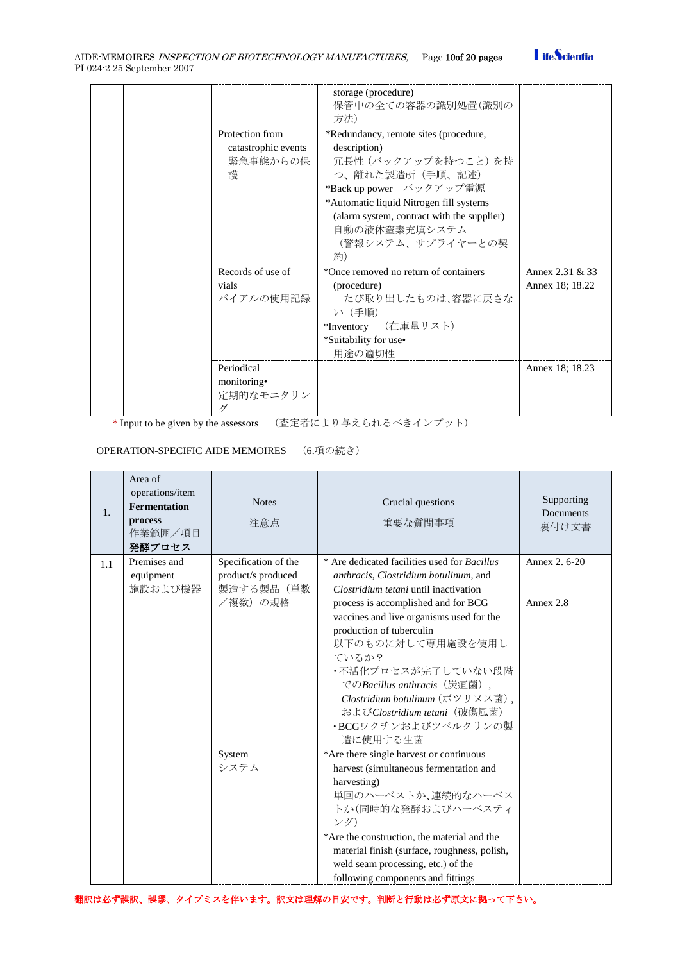

|  |                          | storage (procedure)<br>保管中の全ての容器の識別処置(識別の<br>方法)                                      |                 |
|--|--------------------------|---------------------------------------------------------------------------------------|-----------------|
|  | Protection from          | *Redundancy, remote sites (procedure,                                                 |                 |
|  | catastrophic events      | description)                                                                          |                 |
|  | 緊急事態からの保                 | 冗長性 (バックアップを持つこと) を持                                                                  |                 |
|  | 護                        | つ、離れた製造所(手順、記述)                                                                       |                 |
|  |                          | *Back up power バックアップ電源                                                               |                 |
|  |                          | *Automatic liquid Nitrogen fill systems<br>(alarm system, contract with the supplier) |                 |
|  |                          | 自動の液体窒素充填システム                                                                         |                 |
|  |                          | (警報システム、サプライヤーとの契                                                                     |                 |
|  |                          | 約)                                                                                    |                 |
|  | Records of use of        | *Once removed no return of containers                                                 | Annex 2.31 & 33 |
|  | vials                    | (procedure)                                                                           | Annex 18; 18.22 |
|  | バイアルの使用記録                | 一たび取り出したものは、容器に戻さな                                                                    |                 |
|  |                          | い (手順)                                                                                |                 |
|  |                          | *Inventory (在庫量リスト)                                                                   |                 |
|  |                          | *Suitability for use•                                                                 |                 |
|  |                          | 用途の適切性                                                                                |                 |
|  | Periodical               |                                                                                       | Annex 18; 18.23 |
|  | monitoring•<br>定期的なモニタリン |                                                                                       |                 |
|  | ゲ                        |                                                                                       |                 |

\* Input to be given by the assessors (査定者により与えられるべきインプット)

### OPERATION-SPECIFIC AIDE MEMOIRES (6.項の続き)

| $\mathbf{1}$ . | Area of<br>operations/item<br><b>Fermentation</b><br>process<br>作業範囲/項目<br>発酵プロセス | <b>Notes</b><br>注意点  | Crucial questions<br>重要な質問事項                                                       | Supporting<br>Documents<br>裏付け文書 |
|----------------|-----------------------------------------------------------------------------------|----------------------|------------------------------------------------------------------------------------|----------------------------------|
| 1.1            | Premises and                                                                      | Specification of the | * Are dedicated facilities used for <i>Bacillus</i>                                | Annex 2, 6-20                    |
|                | equipment                                                                         | product/s produced   | anthracis, Clostridium botulinum, and                                              |                                  |
|                | 施設および機器                                                                           | 製造する製品(単数<br>/複数)の規格 | Clostridium tetani until inactivation                                              | Annex 2.8                        |
|                |                                                                                   |                      | process is accomplished and for BCG<br>vaccines and live organisms used for the    |                                  |
|                |                                                                                   |                      | production of tuberculin                                                           |                                  |
|                |                                                                                   |                      | 以下のものに対して専用施設を使用し                                                                  |                                  |
|                |                                                                                   |                      | ているか?                                                                              |                                  |
|                |                                                                                   |                      | ・不活化プロセスが完了していない段階                                                                 |                                  |
|                |                                                                                   |                      | でのBacillus anthracis (炭疽菌),                                                        |                                  |
|                |                                                                                   |                      | Clostridium botulinum (ボツリヌス菌),                                                    |                                  |
|                |                                                                                   |                      | およびClostridium tetani (破傷風菌)<br>・BCGワクチンおよびツベルクリンの製                                |                                  |
|                |                                                                                   |                      | 造に使用する生菌                                                                           |                                  |
|                |                                                                                   | System               | *Are there single harvest or continuous                                            |                                  |
|                |                                                                                   | システム                 | harvest (simultaneous fermentation and                                             |                                  |
|                |                                                                                   |                      | harvesting)                                                                        |                                  |
|                |                                                                                   |                      | 単回のハーベストか、連続的なハーベス                                                                 |                                  |
|                |                                                                                   |                      | トか(同時的な発酵およびハーベスティ                                                                 |                                  |
|                |                                                                                   |                      | ング)                                                                                |                                  |
|                |                                                                                   |                      | *Are the construction, the material and the                                        |                                  |
|                |                                                                                   |                      | material finish (surface, roughness, polish,<br>weld seam processing, etc.) of the |                                  |
|                |                                                                                   |                      | following components and fittings                                                  |                                  |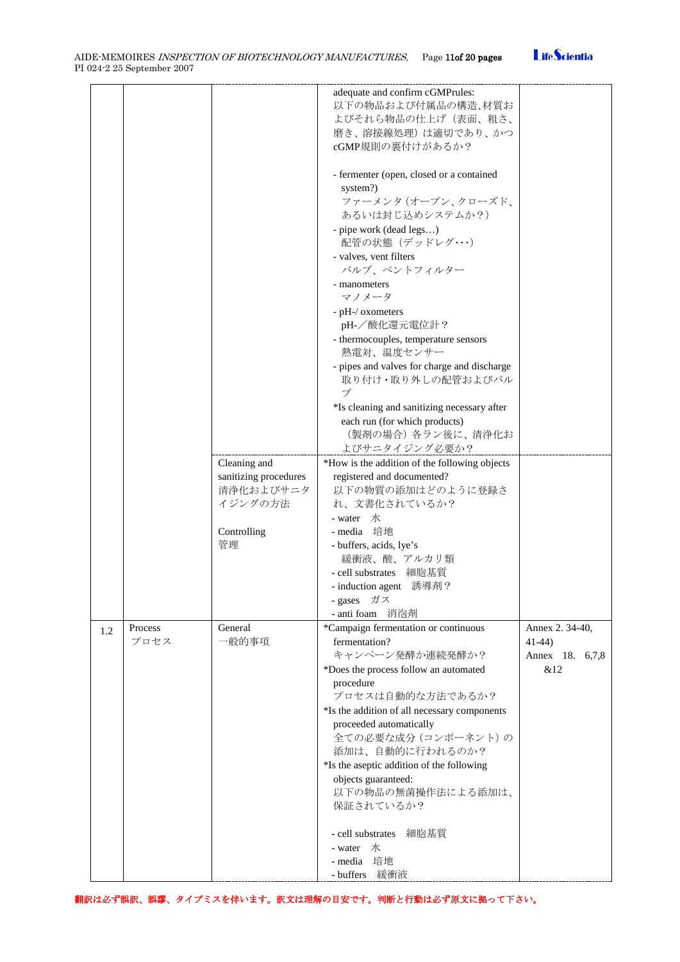|     |         |                                       | adequate and confirm cGMPrules:<br>以下の物品および付属品の構造、材質お<br>よびそれら物品の仕上げ(表面、粗さ、<br>磨き、溶接線処理)は適切であり、かつ<br>cGMP規則の裏付けがあるか? |                 |
|-----|---------|---------------------------------------|----------------------------------------------------------------------------------------------------------------------|-----------------|
|     |         |                                       | - fermenter (open, closed or a contained<br>system?)<br>ファーメンタ (オープン、クローズド、                                          |                 |
|     |         |                                       | あるいは封じ込めシステムか?)                                                                                                      |                 |
|     |         |                                       | - pipe work (dead legs)<br>配管の状態(デッドレグ・・・・)                                                                          |                 |
|     |         |                                       | - valves, vent filters<br>バルブ、ベントフィルター                                                                               |                 |
|     |         |                                       | - manometers                                                                                                         |                 |
|     |         |                                       | マノメータ                                                                                                                |                 |
|     |         |                                       | - pH-/ oxometers                                                                                                     |                 |
|     |         |                                       | pH-/酸化還元電位計?                                                                                                         |                 |
|     |         |                                       | - thermocouples, temperature sensors<br>熱電対、温度センサー                                                                   |                 |
|     |         |                                       | - pipes and valves for charge and discharge<br>取り付け・取り外しの配管およびバル                                                     |                 |
|     |         |                                       | ブ                                                                                                                    |                 |
|     |         |                                       | *Is cleaning and sanitizing necessary after<br>each run (for which products)                                         |                 |
|     |         |                                       | (製剤の場合) 各ラン後に、清浄化お                                                                                                   |                 |
|     |         |                                       | よびサニタイジング必要か?                                                                                                        |                 |
|     |         | Cleaning and<br>sanitizing procedures | *How is the addition of the following objects<br>registered and documented?                                          |                 |
|     |         | 清浄化およびサニタ                             | 以下の物質の添加はどのように登録さ                                                                                                    |                 |
|     |         | イジングの方法                               | れ、文書化されているか?                                                                                                         |                 |
|     |         |                                       | - water 水                                                                                                            |                 |
|     |         | Controlling                           | - media 培地                                                                                                           |                 |
|     |         | 管理                                    | - buffers, acids, lye's                                                                                              |                 |
|     |         |                                       | 緩衝液、酸、アルカリ類                                                                                                          |                 |
|     |         |                                       | - cell substrates 細胞基質                                                                                               |                 |
|     |         |                                       | - induction agent 誘導剤?                                                                                               |                 |
|     |         |                                       | - gases ガス<br>- anti foam 消泡剤                                                                                        |                 |
|     | Process | General                               | *Campaign fermentation or continuous                                                                                 | Annex 2.34-40,  |
| 1.2 | プロセス    | 一般的事項                                 | fermentation?                                                                                                        | $41-44$         |
|     |         |                                       | キャンペーン発酵か連続発酵か?                                                                                                      | Annex 18. 6,7,8 |
|     |         |                                       | *Does the process follow an automated                                                                                | &12             |
|     |         |                                       | procedure                                                                                                            |                 |
|     |         |                                       | プロセスは自動的な方法であるか?                                                                                                     |                 |
|     |         |                                       | *Is the addition of all necessary components                                                                         |                 |
|     |         |                                       | proceeded automatically                                                                                              |                 |
|     |         |                                       | 全ての必要な成分 (コンポーネント)の<br>添加は、自動的に行われるのか?                                                                               |                 |
|     |         |                                       | *Is the aseptic addition of the following                                                                            |                 |
|     |         |                                       | objects guaranteed:                                                                                                  |                 |
|     |         |                                       | 以下の物品の無菌操作法による添加は、                                                                                                   |                 |
|     |         |                                       | 保証されているか?                                                                                                            |                 |
|     |         |                                       | - cell substrates<br>細胞基質                                                                                            |                 |
|     |         |                                       | - water<br>水                                                                                                         |                 |
|     |         |                                       | - media 培地                                                                                                           |                 |
|     |         |                                       | - buffers 緩衝液                                                                                                        |                 |

翻訳は必ず誤訳、誤謬、タイプミスを伴います。訳文は理解の目安です。判断と行動は必ず原文に拠って下さい。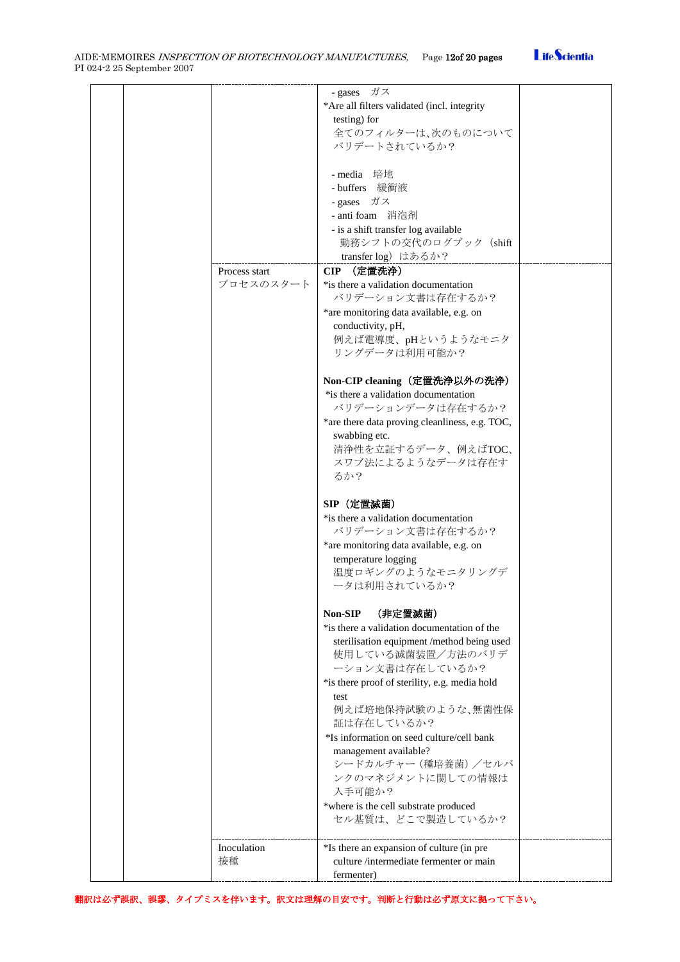

|  |               | - gases ガス                                            |  |
|--|---------------|-------------------------------------------------------|--|
|  |               | *Are all filters validated (incl. integrity           |  |
|  |               |                                                       |  |
|  |               | testing) for                                          |  |
|  |               | 全てのフィルターは、次のものについて                                    |  |
|  |               |                                                       |  |
|  |               | バリデートされているか?                                          |  |
|  |               |                                                       |  |
|  |               |                                                       |  |
|  |               | - media 培地                                            |  |
|  |               | - buffers 緩衝液                                         |  |
|  |               | - gases ガス                                            |  |
|  |               |                                                       |  |
|  |               | - anti foam 消泡剤                                       |  |
|  |               | - is a shift transfer log available                   |  |
|  |               | 勤務シフトの交代のログブック (shift                                 |  |
|  |               |                                                       |  |
|  |               | transfer log) はあるか?                                   |  |
|  | Process start | CIP (定置洗浄)                                            |  |
|  |               |                                                       |  |
|  | プロセスのスタート     | *is there a validation documentation                  |  |
|  |               | バリデーション文書は存在するか?                                      |  |
|  |               |                                                       |  |
|  |               | *are monitoring data available, e.g. on               |  |
|  |               | conductivity, pH,                                     |  |
|  |               | 例えば電導度、pHというようなモニタ                                    |  |
|  |               |                                                       |  |
|  |               | リングデータは利用可能か?                                         |  |
|  |               |                                                       |  |
|  |               |                                                       |  |
|  |               | Non-CIP cleaning(定置洗浄以外の洗浄)                           |  |
|  |               | *is there a validation documentation                  |  |
|  |               | バリデーションデータは存在するか?                                     |  |
|  |               |                                                       |  |
|  |               | *are there data proving cleanliness, e.g. TOC,        |  |
|  |               | swabbing etc.                                         |  |
|  |               | 清浄性を立証するデータ、例えばTOC、                                   |  |
|  |               |                                                       |  |
|  |               | スワブ法によるようなデータは存在す                                     |  |
|  |               | るか?                                                   |  |
|  |               |                                                       |  |
|  |               |                                                       |  |
|  |               | SIP (定置滅菌)                                            |  |
|  |               |                                                       |  |
|  |               | *is there a validation documentation                  |  |
|  |               | バリデーション文書は存在するか?                                      |  |
|  |               | *are monitoring data available, e.g. on               |  |
|  |               |                                                       |  |
|  |               | temperature logging                                   |  |
|  |               | 温度ロギングのようなモニタリングデ                                     |  |
|  |               |                                                       |  |
|  |               |                                                       |  |
|  |               | ータは利用されているか?                                          |  |
|  |               |                                                       |  |
|  |               |                                                       |  |
|  |               | (非定置滅菌)<br>Non-SIP                                    |  |
|  |               | *is there a validation documentation of the           |  |
|  |               |                                                       |  |
|  |               | sterilisation equipment /method being used            |  |
|  |               | 使用している滅菌装置/方法のバリデ                                     |  |
|  |               |                                                       |  |
|  |               | ーション文書は存在しているか?                                       |  |
|  |               | *is there proof of sterility, e.g. media hold         |  |
|  |               | test                                                  |  |
|  |               |                                                       |  |
|  |               | 例えば培地保持試験のような、無菌性保                                    |  |
|  |               | 証は存在しているか?                                            |  |
|  |               | *Is information on seed culture/cell bank             |  |
|  |               |                                                       |  |
|  |               | management available?                                 |  |
|  |               | シードカルチャー (種培養菌) /セルバ                                  |  |
|  |               |                                                       |  |
|  |               | ンクのマネジメントに関しての情報は                                     |  |
|  |               | 入手可能か?                                                |  |
|  |               | *where is the cell substrate produced                 |  |
|  |               |                                                       |  |
|  |               | セル基質は、どこで製造しているか?                                     |  |
|  |               |                                                       |  |
|  |               |                                                       |  |
|  | Inoculation   | *Is there an expansion of culture (in pre             |  |
|  | 接種            | culture /intermediate fermenter or main<br>fermenter) |  |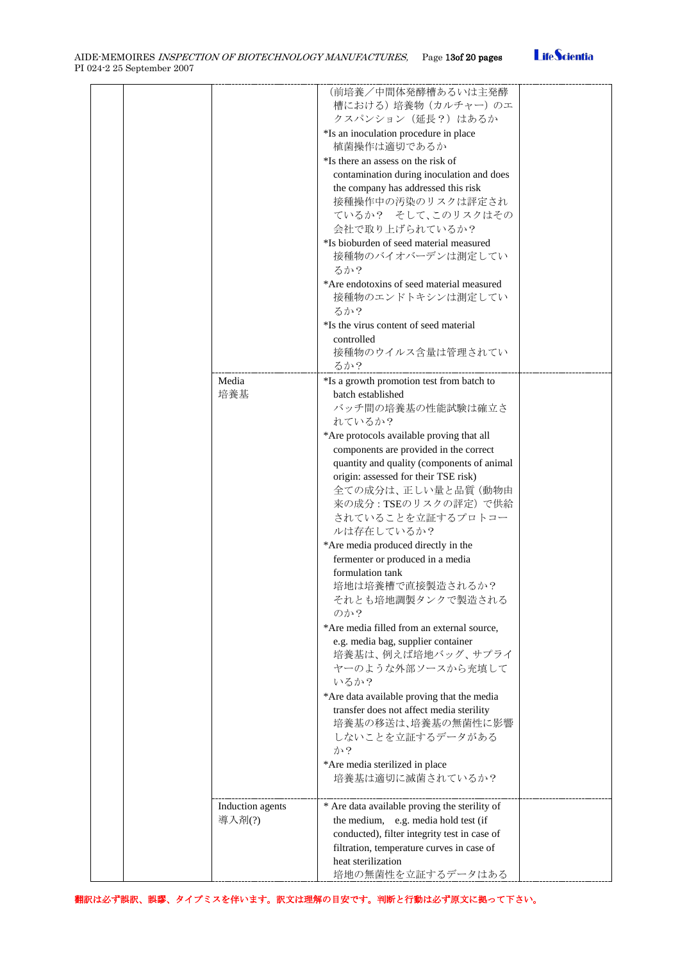|  |                            | (前培養/中間体発酵槽あるいは主発酵<br>槽における)培養物 (カルチャー)のエ<br>クスパンション (延長?) はあるか<br>*Is an inoculation procedure in place<br>植菌操作は適切であるか<br>*Is there an assess on the risk of                                                                 |  |
|--|----------------------------|-------------------------------------------------------------------------------------------------------------------------------------------------------------------------------------------------------------------------------|--|
|  |                            | contamination during inoculation and does<br>the company has addressed this risk<br>接種操作中の汚染のリスクは評定され<br>ているか? そして、このリスクはその<br>会社で取り上げられているか?<br>*Is bioburden of seed material measured                                      |  |
|  |                            | 接種物のバイオバーデンは測定してい<br>るか?<br>*Are endotoxins of seed material measured<br>接種物のエンドトキシンは測定してい                                                                                                                                    |  |
|  |                            | るか?<br>*Is the virus content of seed material<br>controlled<br>接種物のウイルス含量は管理されてい<br>るか?                                                                                                                                       |  |
|  | Media<br>培養基               | *Is a growth promotion test from batch to<br>batch established<br>バッチ間の培養基の性能試験は確立さ<br>れているか?<br>*Are protocols available proving that all                                                                                    |  |
|  |                            | components are provided in the correct<br>quantity and quality (components of animal<br>origin: assessed for their TSE risk)<br>全ての成分は、正しい量と品質(動物由<br>来の成分: TSEのリスクの評定)で供給<br>されていることを立証するプロトコー                               |  |
|  |                            | ルは存在しているか?<br>*Are media produced directly in the<br>fermenter or produced in a media<br>formulation tank<br>培地は培養槽で直接製造されるか?<br>それとも培地調製タンクで製造される                                                                            |  |
|  |                            | のか?<br>*Are media filled from an external source,<br>e.g. media bag, supplier container<br>培養基は、例えば培地バッグ、サプライ<br>ヤーのような外部ソースから充填して<br>いるか?                                                                                    |  |
|  |                            | *Are data available proving that the media<br>transfer does not affect media sterility<br>培養基の移送は、培養基の無菌性に影響<br>しないことを立証するデータがある<br>か?<br>*Are media sterilized in place                                                      |  |
|  |                            | 培養基は適切に滅菌されているか?                                                                                                                                                                                                              |  |
|  | Induction agents<br>導入剤(?) | * Are data available proving the sterility of<br>the medium, e.g. media hold test (if<br>conducted), filter integrity test in case of<br>filtration, temperature curves in case of<br>heat sterilization<br>培地の無菌性を立証するデータはある |  |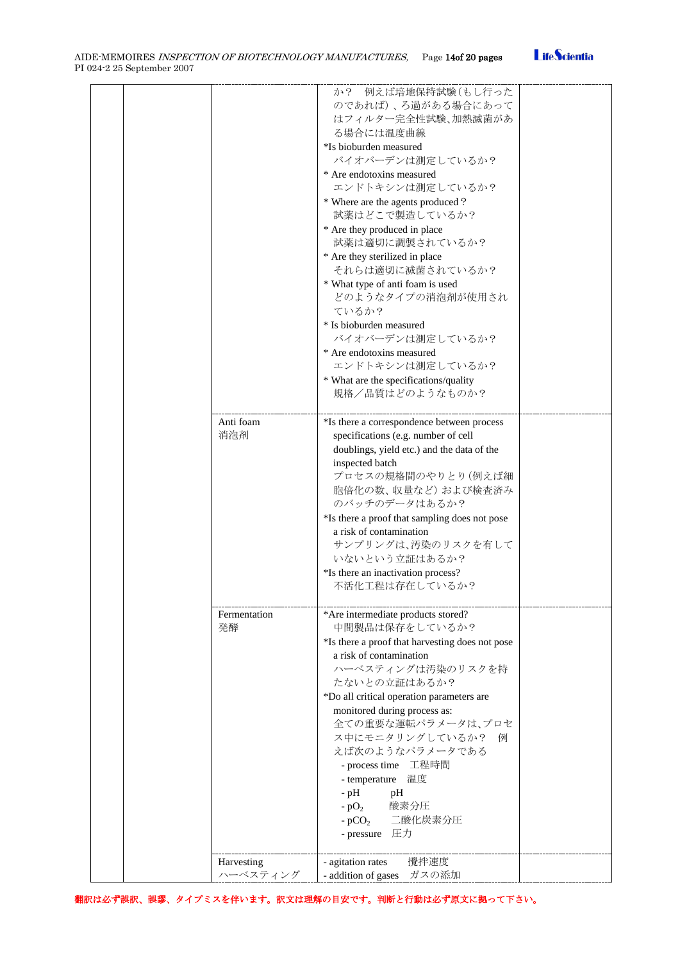| AIDE-MEMOIRES <i>INSPECTION OF BIOTECHNOLOGY MANUFACTURES</i> . | Page 14of 20 pages |  |
|-----------------------------------------------------------------|--------------------|--|
| PI 024-2 25 September 2007                                      |                    |  |



| Anti foam              | か? 例えば培地保持試験(もし行った<br>のであれば)、ろ過がある場合にあって<br>はフィルター完全性試験、加熱滅菌があ<br>る場合には温度曲線<br>*Is bioburden measured<br>バイオバーデンは測定しているか?<br>* Are endotoxins measured<br>エンドトキシンは測定しているか?<br>* Where are the agents produced ?<br>試薬はどこで製造しているか?<br>* Are they produced in place<br>試薬は適切に調製されているか?<br>* Are they sterilized in place<br>それらは適切に滅菌されているか?<br>* What type of anti foam is used<br>どのようなタイプの消泡剤が使用され<br>ているか?<br>* Is bioburden measured<br>バイオバーデンは測定しているか?<br>* Are endotoxins measured<br>エンドトキシンは測定しているか?<br>* What are the specifications/quality<br>規格/品質はどのようなものか?<br>*Is there a correspondence between process |  |
|------------------------|------------------------------------------------------------------------------------------------------------------------------------------------------------------------------------------------------------------------------------------------------------------------------------------------------------------------------------------------------------------------------------------------------------------------------------------------------------------------------------------------------------------------------------------------------------------------------------------------------------------------|--|
| 消泡剤                    | specifications (e.g. number of cell<br>doublings, yield etc.) and the data of the<br>inspected batch<br>プロセスの規格間のやりとり(例えば細<br>胞倍化の数、収量など)および検査済み<br>のバッチのデータはあるか?<br>*Is there a proof that sampling does not pose<br>a risk of contamination<br>サンプリングは、汚染のリスクを有して<br>いないという立証はあるか?<br>*Is there an inactivation process?<br>不活化工程は存在しているか?                                                                                                                                                                                                                                                                           |  |
| Fermentation<br>発酵     | *Are intermediate products stored?<br>中間製品は保存をしているか?<br>*Is there a proof that harvesting does not pose<br>a risk of contamination<br>ハーベスティングは汚染のリスクを持<br>たないとの立証はあるか?<br>*Do all critical operation parameters are<br>monitored during process as:<br>全ての重要な運転パラメータは、プロセ<br>ス中にモニタリングしているか?<br>例<br>えば次のようなパラメータである<br>- process time 工程時間<br>温度<br>- temperature<br>$-$ pH<br>pH<br>酸素分圧<br>$-pO2$<br>- $pCO2$ 二酸化炭素分圧<br>- pressure 圧力                                                                                                                                                                             |  |
| Harvesting<br>ハーベスティング | 攪拌速度<br>- agitation rates<br>- addition of gases ガスの添加                                                                                                                                                                                                                                                                                                                                                                                                                                                                                                                                                                 |  |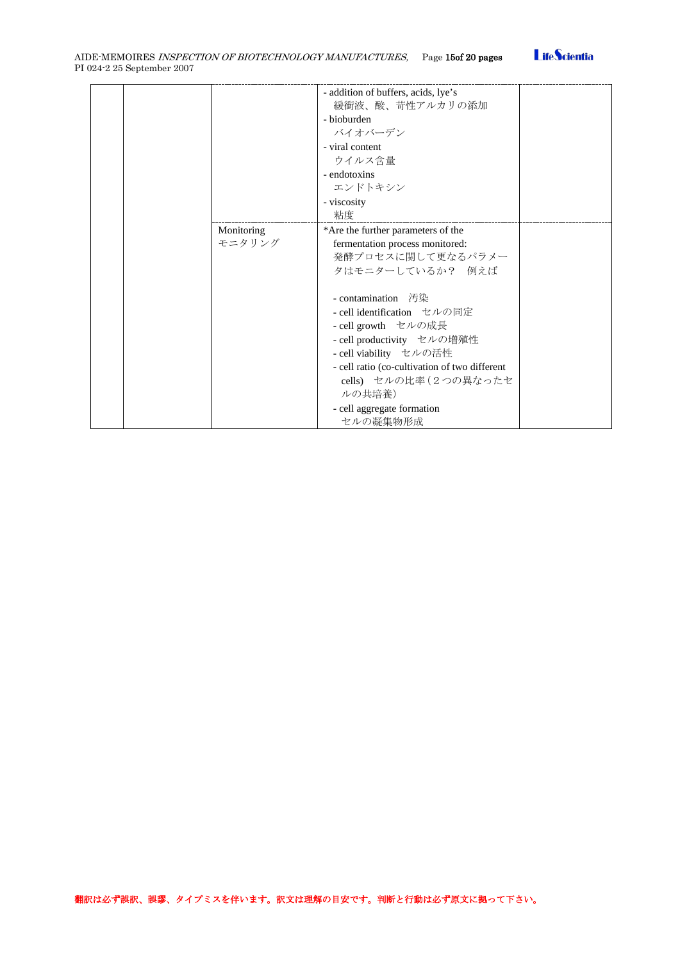

|  |            | - addition of buffers, acids, lye's<br>緩衝液、酸、苛性アルカリの添加 |  |
|--|------------|--------------------------------------------------------|--|
|  |            |                                                        |  |
|  |            | - bioburden                                            |  |
|  |            | バイオバーデン                                                |  |
|  |            | - viral content                                        |  |
|  |            | ウイルス含量                                                 |  |
|  |            | - endotoxins                                           |  |
|  |            | エンドトキシン                                                |  |
|  |            | - viscosity                                            |  |
|  |            | 粘度                                                     |  |
|  | Monitoring | *Are the further parameters of the                     |  |
|  | モニタリング     | fermentation process monitored:                        |  |
|  |            | 発酵プロセスに関して更なるパラメー                                      |  |
|  |            | タはモニターしているか? 例えば                                       |  |
|  |            |                                                        |  |
|  |            | - contamination 汚染                                     |  |
|  |            | - cell identification セルの同定                            |  |
|  |            | - cell growth セルの成長                                    |  |
|  |            | - cell productivity セルの増殖性                             |  |
|  |            | - cell viability セルの活性                                 |  |
|  |            | - cell ratio (co-cultivation of two different          |  |
|  |            |                                                        |  |
|  |            | cells) セルの比率 (2つの異なったセ                                 |  |
|  |            | ルの共培養)                                                 |  |
|  |            | - cell aggregate formation                             |  |
|  |            | セルの凝集物形成                                               |  |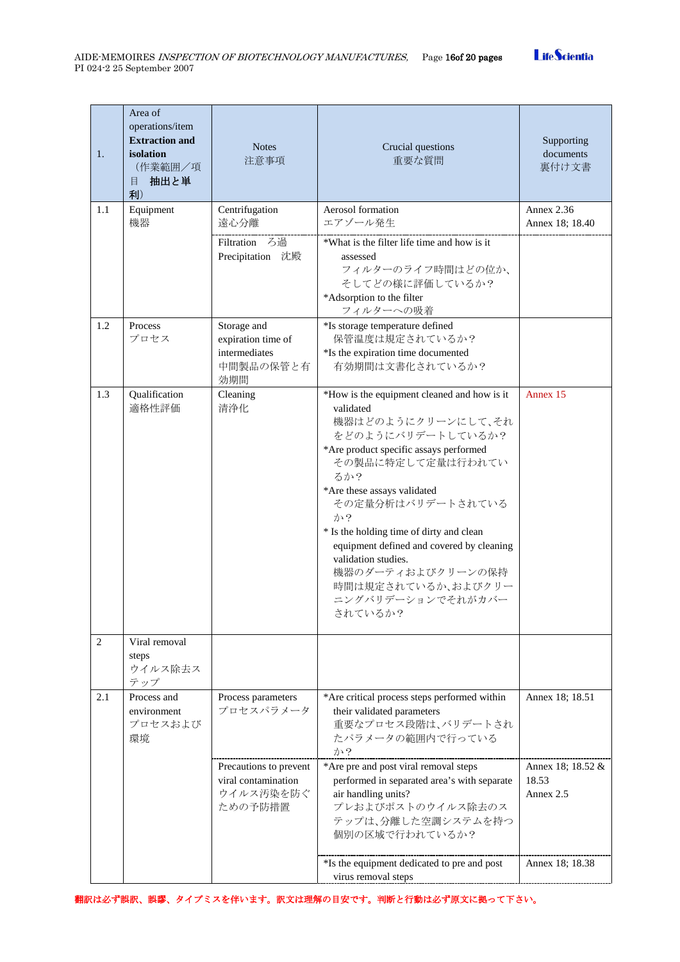| 1.  | Area of<br>operations/item<br><b>Extraction and</b><br>isolation<br>(作業範囲/項<br>抽出と単<br>目<br>利) | <b>Notes</b><br>注意事項                                                   | Crucial questions<br>重要な質問                                                                                                                                                                                                                                                                                                                                                                                                     | Supporting<br>documents<br>裏付け文書        |
|-----|------------------------------------------------------------------------------------------------|------------------------------------------------------------------------|--------------------------------------------------------------------------------------------------------------------------------------------------------------------------------------------------------------------------------------------------------------------------------------------------------------------------------------------------------------------------------------------------------------------------------|-----------------------------------------|
| 1.1 | Equipment<br>機器                                                                                | Centrifugation<br>遠心分離<br>Filtration ろ過                                | Aerosol formation<br>エアゾール発生<br>*What is the filter life time and how is it                                                                                                                                                                                                                                                                                                                                                    | <b>Annex 2.36</b><br>Annex 18; 18.40    |
|     |                                                                                                | Precipitation 沈殿                                                       | assessed<br>フィルターのライフ時間はどの位か、<br>そしてどの様に評価しているか?<br>*Adsorption to the filter<br>フィルターへの吸着                                                                                                                                                                                                                                                                                                                                     |                                         |
| 1.2 | Process<br>プロセス                                                                                | Storage and<br>expiration time of<br>intermediates<br>中間製品の保管と有<br>効期間 | *Is storage temperature defined<br>保管温度は規定されているか?<br>*Is the expiration time documented<br>有効期間は文書化されているか?                                                                                                                                                                                                                                                                                                                     |                                         |
| 1.3 | Qualification<br>適格性評価                                                                         | Cleaning<br>清浄化                                                        | *How is the equipment cleaned and how is it<br>validated<br>機器はどのようにクリーンにして、それ<br>をどのようにバリデートしているか?<br>*Are product specific assays performed<br>その製品に特定して定量は行われてい<br>るか?<br>*Are these assays validated<br>その定量分析はバリデートされている<br>か?<br>* Is the holding time of dirty and clean<br>equipment defined and covered by cleaning<br>validation studies.<br>機器のダーティおよびクリーンの保持<br>時間は規定されているか、およびクリー<br>ニングバリデーションでそれがカバー<br>されているか? | Annex 15                                |
| 2   | Viral removal<br>steps<br>ウイルス除去ス<br>テップ                                                       |                                                                        |                                                                                                                                                                                                                                                                                                                                                                                                                                |                                         |
| 2.1 | Process and<br>environment<br>プロセスおよび<br>環境                                                    | Process parameters<br>プロセスパラメータ                                        | *Are critical process steps performed within<br>their validated parameters<br>重要なプロセス段階は、バリデートされ<br>たパラメータの範囲内で行っている<br>か?                                                                                                                                                                                                                                                                                                     | Annex 18; 18.51                         |
|     |                                                                                                | Precautions to prevent<br>viral contamination<br>ウイルス汚染を防ぐ<br>ための予防措置  | *Are pre and post viral removal steps<br>performed in separated area's with separate<br>air handling units?<br>プレおよびポストのウイルス除去のス<br>テップは、分離した空調システムを持つ<br>個別の区域で行われているか?                                                                                                                                                                                                                                                       | Annex 18; 18.52 &<br>18.53<br>Annex 2.5 |
|     |                                                                                                |                                                                        | *Is the equipment dedicated to pre and post<br>virus removal steps                                                                                                                                                                                                                                                                                                                                                             | Annex 18; 18.38                         |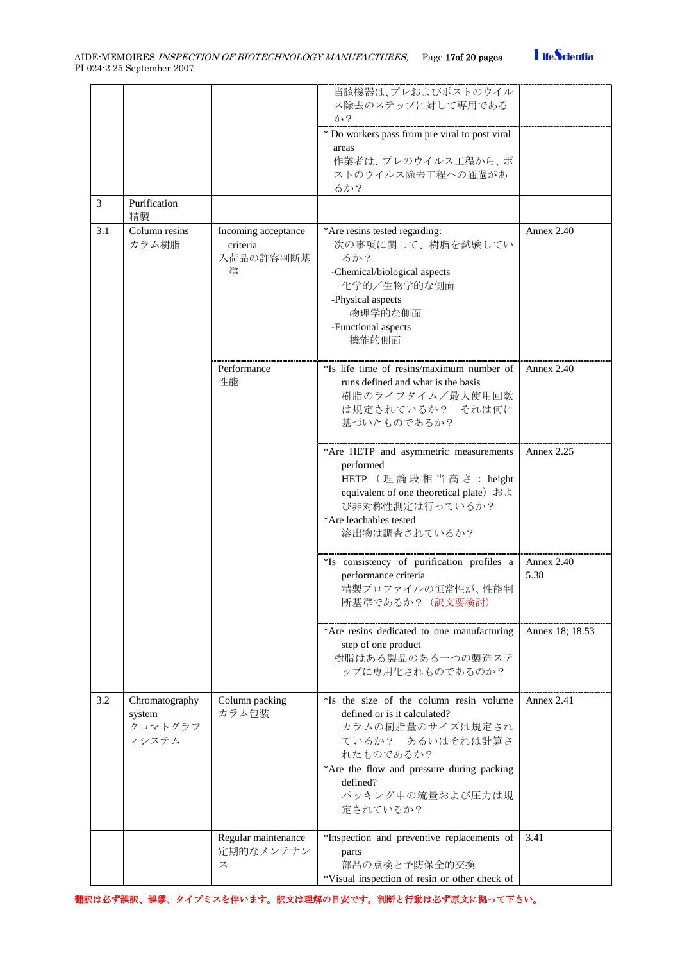

|     |                                              |                                                   | 当該機器は、プレおよびポストのウイル<br>ス除去のステップに対して専用である<br>か?<br>* Do workers pass from pre viral to post viral<br>areas<br>作業者は、プレのウイルス工程から、ポ<br>ストのウイルス除去工程への通過があ<br>るか?                                                            |                    |
|-----|----------------------------------------------|---------------------------------------------------|-----------------------------------------------------------------------------------------------------------------------------------------------------------------------------------------------------------------------|--------------------|
| 3   | Purification<br>精製                           |                                                   |                                                                                                                                                                                                                       |                    |
| 3.1 | Column resins<br>カラム樹脂                       | Incoming acceptance<br>criteria<br>入荷品の許容判断基<br>準 | *Are resins tested regarding:<br>次の事項に関して、樹脂を試験してい<br>るか?<br>-Chemical/biological aspects<br>化学的/生物学的な側面<br>-Physical aspects<br>物理学的な側面<br>-Functional aspects<br>機能的側面                                              | Annex 2.40         |
|     |                                              | Performance<br>性能                                 | *Is life time of resins/maximum number of<br>runs defined and what is the basis<br>樹脂のライフタイム/最大使用回数<br>は規定されているか? それは何に<br>基づいたものであるか?                                                                                | <b>Annex 2.40</b>  |
|     |                                              |                                                   | *Are HETP and asymmetric measurements<br>performed<br>HETP (理論段相当高さ: height<br>equivalent of one theoretical plate) およ<br>び非対称性測定は行っているか?<br>*Are leachables tested<br>溶出物は調査されているか?                                  | <b>Annex 2.25</b>  |
|     |                                              |                                                   | *Is consistency of purification profiles a<br>performance criteria<br>精製プロファイルの恒常性が、性能判<br>断基準であるか? (訳文要検討)                                                                                                           | Annex 2.40<br>5.38 |
|     |                                              |                                                   | *Are resins dedicated to one manufacturing<br>step of one product<br>樹脂はある製品のある一つの製造ステ<br>ップに専用化されものであるのか?                                                                                                            | Annex 18; 18.53    |
| 3.2 | Chromatography<br>system<br>クロマトグラフ<br>イシステム | Column packing<br>カラム包装                           | *Is the size of the column resin volume<br>defined or is it calculated?<br>カラムの樹脂量のサイズは規定され<br>ているか? あるいはそれは計算さ<br>れたものであるか?<br>*Are the flow and pressure during packing<br>defined?<br>パッキング中の流量および圧力は規<br>定されているか? | Annex $2.41$       |
|     |                                              | Regular maintenance<br>定期的なメンテナン<br>ス             | *Inspection and preventive replacements of<br>parts<br>部品の点検と予防保全的交換<br>*Visual inspection of resin or other check of                                                                                                 | 3.41               |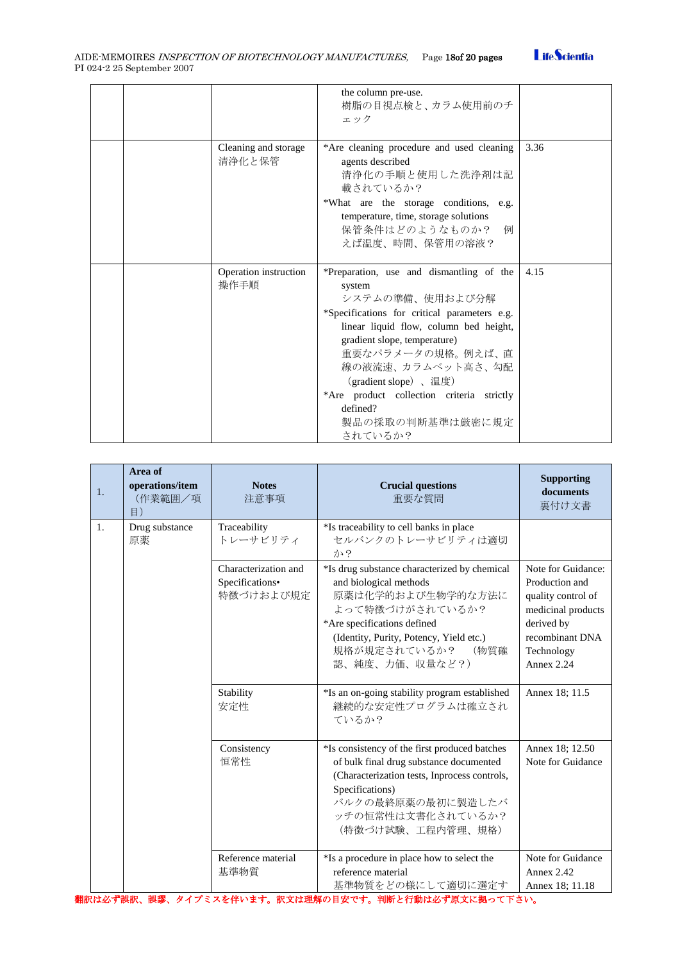

|  |                                | the column pre-use.<br>樹脂の目視点検と、カラム使用前のチ<br>エック                                                                                                                                                                                                                                                                                                           |      |
|--|--------------------------------|-----------------------------------------------------------------------------------------------------------------------------------------------------------------------------------------------------------------------------------------------------------------------------------------------------------------------------------------------------------|------|
|  | Cleaning and storage<br>清浄化と保管 | *Are cleaning procedure and used cleaning<br>agents described<br>清浄化の手順と使用した洗浄剤は記<br>載されているか?<br>*What are the storage conditions, e.g.<br>temperature, time, storage solutions<br>保管条件はどのようなものか?<br>例<br>えば温度、時間、保管用の溶液?                                                                                                                                 | 3.36 |
|  | Operation instruction<br>操作手順  | *Preparation, use and dismantling of the<br>system<br>システムの準備、使用および分解<br>*Specifications for critical parameters e.g.<br>linear liquid flow, column bed height,<br>gradient slope, temperature)<br>重要なパラメータの規格。例えば、直<br>線の液流速、カラムベット高さ、勾配<br>(gradient slope)、温度)<br>*Are product collection criteria strictly<br>defined?<br>製品の採取の判断基準は厳密に規定<br>されているか? | 4.15 |

| 1. | Area of<br>operations/item<br>(作業範囲/項<br>$\Xi$ ) | <b>Notes</b><br>注意事項                                 | <b>Crucial questions</b><br>重要な質問                                                                                                                                                                                               | <b>Supporting</b><br>documents<br>裏付け文書                                                                                                       |
|----|--------------------------------------------------|------------------------------------------------------|---------------------------------------------------------------------------------------------------------------------------------------------------------------------------------------------------------------------------------|-----------------------------------------------------------------------------------------------------------------------------------------------|
| 1. | Drug substance<br>原薬                             | Traceability<br>トレーサビリティ                             | *Is traceability to cell banks in place<br>セルバンクのトレーサビリティは適切<br>か?                                                                                                                                                              |                                                                                                                                               |
|    |                                                  | Characterization and<br>Specifications•<br>特徴づけおよび規定 | *Is drug substance characterized by chemical<br>and biological methods<br>原薬は化学的および生物学的な方法に<br>よって特徴づけがされているか?<br>*Are specifications defined<br>(Identity, Purity, Potency, Yield etc.)<br>規格が規定されているか? (物質確<br>認、純度、力価、収量など?) | Note for Guidance:<br>Production and<br>quality control of<br>medicinal products<br>derived by<br>recombinant DNA<br>Technology<br>Annex 2.24 |
|    |                                                  | Stability<br>安定性                                     | *Is an on-going stability program established<br>継続的な安定性プログラムは確立され<br>ているか?                                                                                                                                                     | Annex 18; 11.5                                                                                                                                |
|    |                                                  | Consistency<br>恒常性                                   | *Is consistency of the first produced batches<br>of bulk final drug substance documented<br>(Characterization tests, Inprocess controls,<br>Specifications)<br>バルクの最終原薬の最初に製造したバ<br>ッチの恒常性は文書化されているか?<br>(特徴づけ試験、工程内管理、規格)      | Annex 18; 12.50<br>Note for Guidance                                                                                                          |
|    |                                                  | Reference material<br>基準物質                           | *Is a procedure in place how to select the<br>reference material<br>基準物質をどの様にして適切に選定す                                                                                                                                           | Note for Guidance<br>Annex 2.42<br>Annex 18; 11.18                                                                                            |

翻訳は必ず誤訳、誤謬、タイプミスを伴います。訳文は理解の目安です。判断と行動は必ず原文に拠って下さい。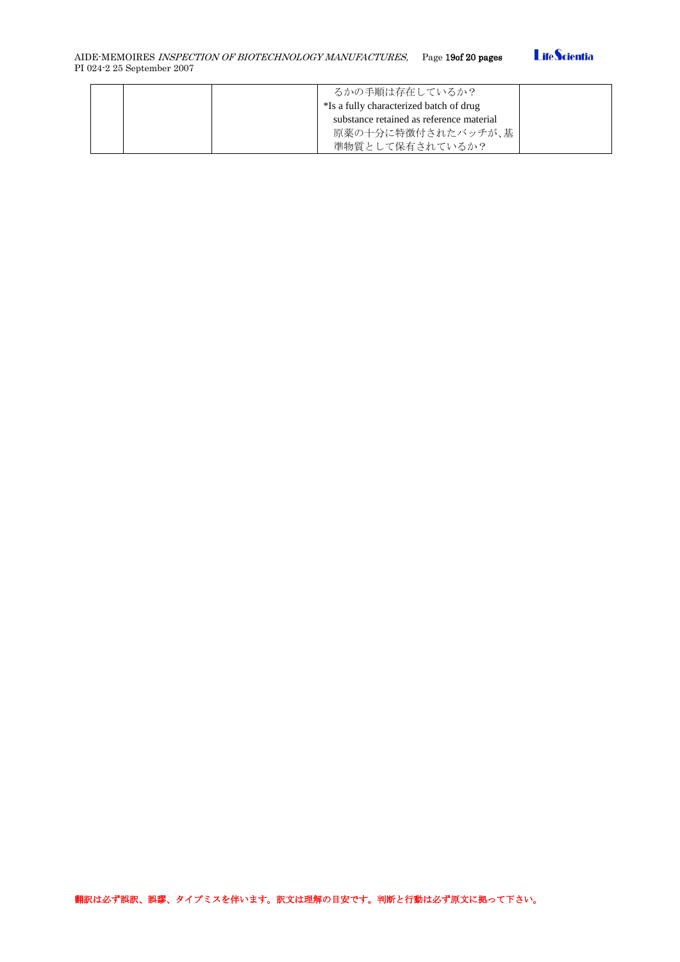

| るかの手順は存在しているか?                           |  |
|------------------------------------------|--|
| *Is a fully characterized batch of drug  |  |
| substance retained as reference material |  |
| 原薬の十分に特徴付されたバッチが、基                       |  |
| 準物質として保有されているか?                          |  |